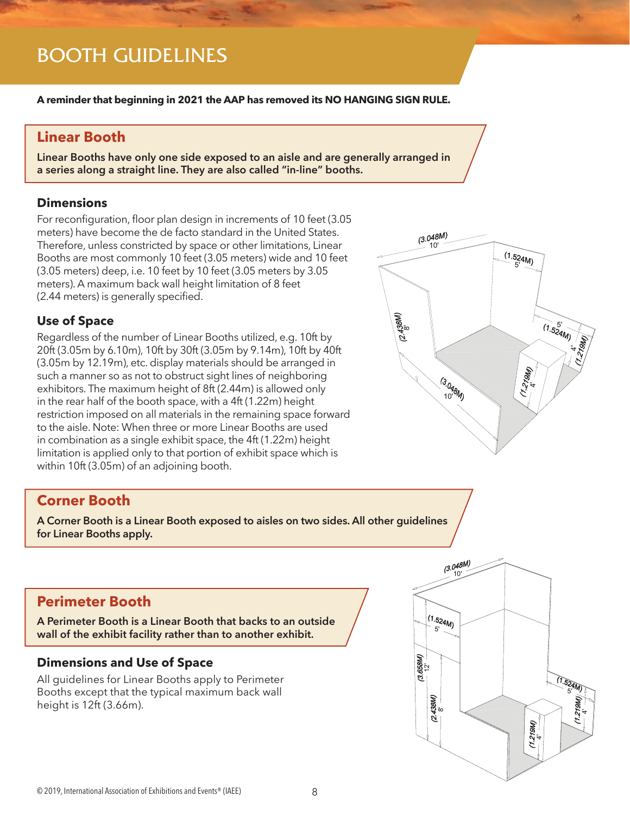## BOOTH GUIDELINES

**A reminder that beginning in 2021 the AAP has removed its NO HANGING SIGN RULE.**

## **Linear Booth**

**Linear Booths have only one side exposed to an aisle and are generally arranged in a series along a straight line. They are also called "in-line" booths.**

#### **Dimensions**

For reconfiguration, floor plan design in increments of 10 feet (3.05 meters) have become the de facto standard in the United States. Therefore, unless constricted by space or other limitations, Linear Booths are most commonly 10 feet (3.05 meters) wide and 10 feet (3.05 meters) deep, i.e. 10 feet by 10 feet (3.05 meters by 3.05 meters). A maximum back wall height limitation of 8 feet (2.44 meters) is generally specified.

### **Use of Space**

Regardless of the number of Linear Booths utilized, e.g. 10ft by 20ft (3.05m by 6.10m), 10ft by 30ft (3.05m by 9.14m), 10ft by 40ft (3.05m by 12.19m), etc. display materials should be arranged in such a manner so as not to obstruct sight lines of neighboring exhibitors. The maximum height of 8ft (2.44m) is allowed only in the rear half of the booth space, with a 4ft (1.22m) height restriction imposed on all materials in the remaining space forward to the aisle. Note: When three or more Linear Booths are used in combination as a single exhibit space, the 4ft (1.22m) height limitation is applied only to that portion of exhibit space which is within 10ft (3.05m) of an adjoining booth.

## **Corner Booth**

**A Corner Booth is a Linear Booth exposed to aisles on two sides. All other guidelines for Linear Booths apply.**

## **Perimeter Booth**

**A Perimeter Booth is a Linear Booth that backs to an outside wall of the exhibit facility rather than to another exhibit.** 

### **Dimensions and Use of Space**

All guidelines for Linear Booths apply to Perimeter Booths except that the typical maximum back wall height is 12ft (3.66m).